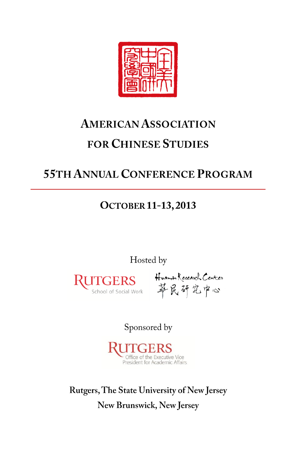

# **AMERICAN ASSOCIATION FOR CHINESE STUDIES**

## **55TH ANNUAL CONFERENCE PROGRAM**

## **OCTOBER 11-13, 2013**

Hosted by



ITGERS Huamin Research Center<br>School of Social Work 苹民研究中心

Sponsored by



Rutgers, The State University of New Jersey New Brunswick, New Jersey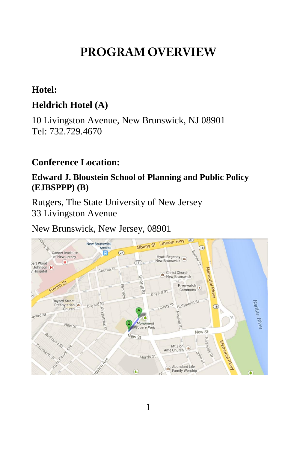## **PROGRAM OVERVIEW**

### **Hotel:**

### **Heldrich Hotel (A)**

10 Livingston Avenue, New Brunswick, NJ 08901 Tel: 732.729.4670

### **Conference Location:**

### **Edward J. Bloustein School of Planning and Public Policy (EJBSPPP) (B)**

Rutgers, The State University of New Jersey 33 Livingston Avenue

New Brunswick, New Jersey, 08901

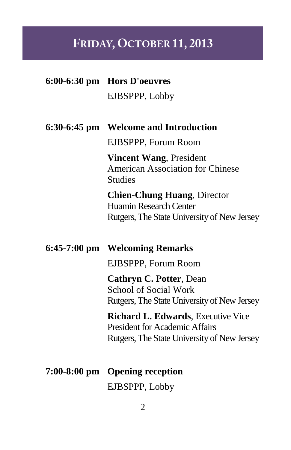# FRIDAY, OCTOBER 11, 2013

|                | 6:00-6:30 pm Hors D'oeuvres                                                                                                       |
|----------------|-----------------------------------------------------------------------------------------------------------------------------------|
|                | EJBSPPP, Lobby                                                                                                                    |
|                |                                                                                                                                   |
| $6:30-6:45$ pm | <b>Welcome and Introduction</b>                                                                                                   |
|                | EJBSPPP, Forum Room                                                                                                               |
|                | <b>Vincent Wang, President</b><br><b>American Association for Chinese</b><br><b>Studies</b>                                       |
|                | <b>Chien-Chung Huang, Director</b><br><b>Huamin Research Center</b><br>Rutgers, The State University of New Jersey                |
|                |                                                                                                                                   |
|                |                                                                                                                                   |
| $6:45-7:00$ pm | <b>Welcoming Remarks</b>                                                                                                          |
|                | EJBSPPP, Forum Room                                                                                                               |
|                | <b>Cathryn C. Potter, Dean</b><br><b>School of Social Work</b><br>Rutgers, The State University of New Jersey                     |
|                | <b>Richard L. Edwards, Executive Vice</b><br><b>President for Academic Affairs</b><br>Rutgers, The State University of New Jersey |
|                | 7:00-8:00 pm Opening reception                                                                                                    |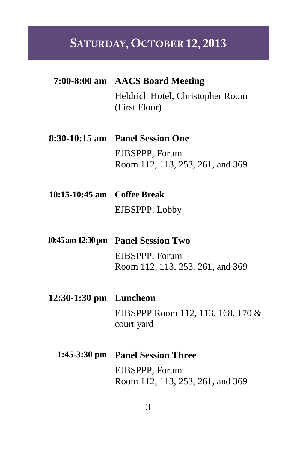## SATURDAY, OCTOBER 12, 2013

- **7:00-8:00 am AACS Board Meeting** Heldrich Hotel, Christopher Room (First Floor)
- **8:30-10:15 am Panel Session One** EJBSPPP, Forum Room 112, 113, 253, 261, and 369
- **10:15-10:45 am Coffee Break** EJBSPPP, Lobby
- **10:45am-12:30 pm Panel Session Two** EJBSPPP, Forum Room 112, 113, 253, 261, and 369
- **12:30-1:30 pm Luncheon** EJBSPPP Room 112, 113, 168, 170 & court yard
	- **1:45-3:30 pm Panel Session Three** EJBSPPP, Forum Room 112, 113, 253, 261, and 369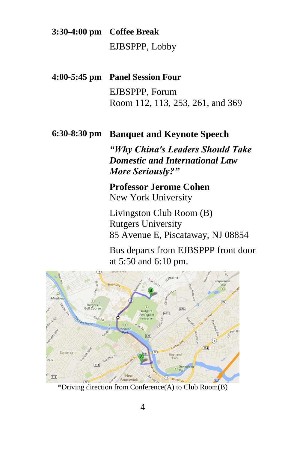**3:30-4:00 pm Coffee Break** EJBSPPP, Lobby

- **4:00-5:45 pm Panel Session Four** EJBSPPP, Forum Room 112, 113, 253, 261, and 369
- **6:30-8:30 pm Banquet and Keynote Speech**

*"Why China's Leaders Should Take Domestic and International Law More Seriously?"*

**Professor Jerome Cohen** New York University

Livingston Club Room (B) Rutgers University 85 Avenue E, Piscataway, NJ 08854

Bus departs from EJBSPPP front door at 5:50 and 6:10 pm.



\*Driving direction from Conference(A) to Club Room(B)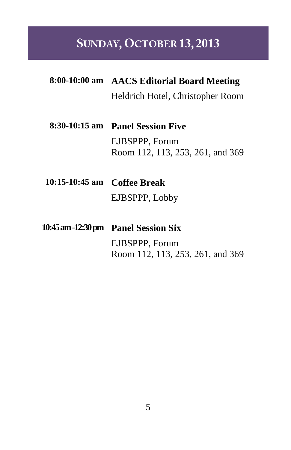## SUNDAY, OCTOBER 13, 2013

- **8:00-10:00 am AACS Editorial Board Meeting** Heldrich Hotel, Christopher Room
- **8:30-10:15 am Panel Session Five** EJBSPPP, Forum Room 112, 113, 253, 261, and 369
- **10:15-10:45 am Coffee Break** EJBSPPP, Lobby
- **10:45 am -12:30 pm Panel Session Six** EJBSPPP, Forum Room 112, 113, 253, 261, and 369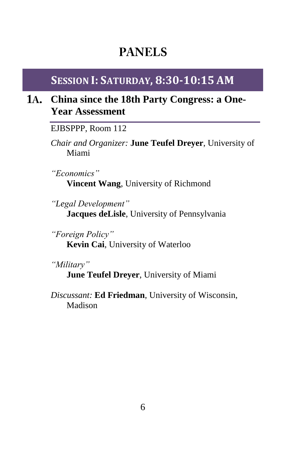## **PANELS**

## **SESSION I: SATURDAY, 8:30-10:15 AM**

## **China since the 18th Party Congress: a One-Year Assessment**

EJBSPPP, Room 112

*Chair and Organizer:* **June Teufel Dreyer**, University of Miami

*"Economics"* **Vincent Wang**, University of Richmond

*"Legal Development"* **Jacques deLisle**, University of Pennsylvania

*"Foreign Policy"* **Kevin Cai**, University of Waterloo

*"Military"*

**June Teufel Dreyer**, University of Miami

*Discussant:* **Ed Friedman**, University of Wisconsin, Madison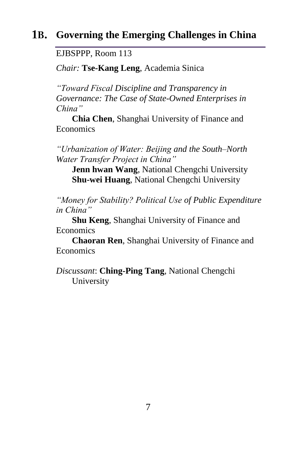### **Governing the Emerging Challenges in China**

EJBSPPP, Room 113

*Chair:* **Tse-Kang Leng**, Academia Sinica

*"Toward Fiscal Discipline and Transparency in Governance: The Case of State-Owned Enterprises in China"*

**Chia Chen**, Shanghai University of Finance and Economics

*"Urbanization of Water: Beijing and the South–North Water Transfer Project in China"*

**Jenn hwan Wang**, National Chengchi University **Shu-wei Huang**, National Chengchi University

*"Money for Stability? Political Use of Public Expenditure in China"*

**Shu Keng**, Shanghai University of Finance and Economics

**Chaoran Ren**, Shanghai University of Finance and Economics

*Discussant*: **Ching-Ping Tang**, National Chengchi University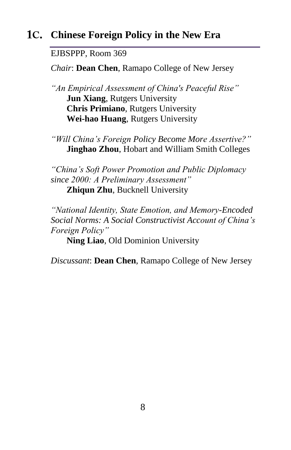## **Chinese Foreign Policy in the New Era**

#### EJBSPPP, Room 369

*Chair*: **Dean Chen**, Ramapo College of New Jersey

*"An Empirical Assessment of China's Peaceful Rise"* **Jun Xiang**, Rutgers University **Chris Primiano**, Rutgers University **Wei-hao Huang**, Rutgers University

*"Will China's Foreign Policy Become More Assertive?"* **Jinghao Zhou**, Hobart and William Smith Colleges

*"China's Soft Power Promotion and Public Diplomacy since 2000: A Preliminary Assessment"* **Zhiqun Zhu**, Bucknell University

*"National Identity, State Emotion, and Memory-Encoded Social Norms: A Social Constructivist Account of China's Foreign Policy"*

**Ning Liao**, Old Dominion University

*Discussant*: **Dean Chen**, Ramapo College of New Jersey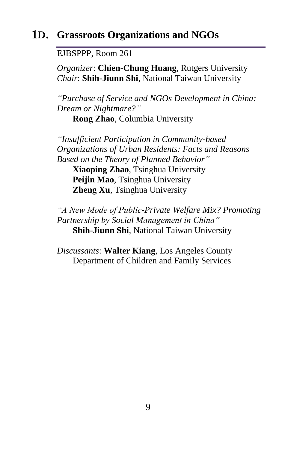### **Grassroots Organizations and NGOs**

EJBSPPP, Room 261

*Organizer*: **Chien-Chung Huang**, Rutgers University *Chair*: **Shih-Jiunn Shi**, National Taiwan University

*"Purchase of Service and NGOs Development in China: Dream or Nightmare?"*

**Rong Zhao**, Columbia University

*"Insufficient Participation in Community-based Organizations of Urban Residents: Facts and Reasons Based on the Theory of Planned Behavior"* **Xiaoping Zhao**, Tsinghua University **Peijin Mao**, Tsinghua University **Zheng Xu**, Tsinghua University

*"A New Mode of Public-Private Welfare Mix? Promoting Partnership by Social Management in China"* **Shih-Jiunn Shi**, National Taiwan University

*Discussants*: **Walter Kiang**, Los Angeles County Department of Children and Family Services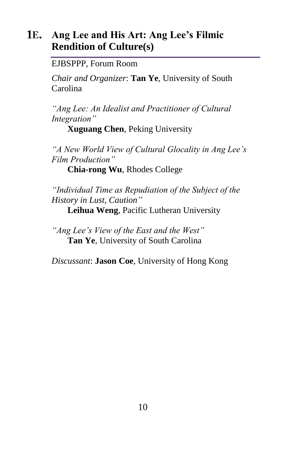## **Ang Lee and His Art: Ang Lee's Filmic Rendition of Culture(s)**

EJBSPPP, Forum Room

*Chair and Organizer*: **Tan Ye**, University of South Carolina

*"Ang Lee: An Idealist and Practitioner of Cultural Integration"*

**Xuguang Chen**, Peking University

*"A New World View of Cultural Glocality in Ang Lee's Film Production"*

**Chia-rong Wu**, Rhodes College

*"Individual Time as Repudiation of the Subject of the History in Lust, Caution"*

**Leihua Weng**, Pacific Lutheran University

*"Ang Lee's View of the East and the West"* **Tan Ye**, University of South Carolina

*Discussant*: **Jason Coe**, University of Hong Kong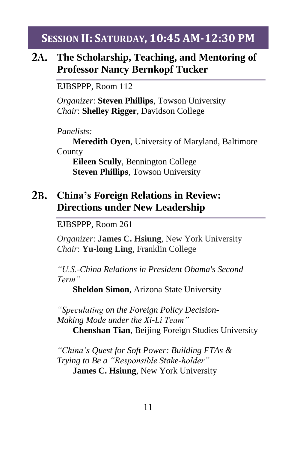**SESSION II: SATURDAY, 10:45 AM-12:30 PM**

#### $2A.$ **The Scholarship, Teaching, and Mentoring of Professor Nancy Bernkopf Tucker**

EJBSPPP, Room 112

*Organizer*: **Steven Phillips**, Towson University *Chair*: **Shelley Rigger**, Davidson College

*Panelists:*

**Meredith Oyen**, University of Maryland, Baltimore County

**Eileen Scully**, Bennington College **Steven Phillips**, Towson University

### **China's Foreign Relations in Review: Directions under New Leadership**

EJBSPPP, Room 261

*Organizer*: **James C. Hsiung**, New York University *Chair*: **Yu-long Ling**, Franklin College

*"U.S.-China Relations in President Obama's Second Term"*

**Sheldon Simon**, Arizona State University

*"Speculating on the Foreign Policy Decision-Making Mode under the Xi-Li Team"* **Chenshan Tian**, Beijing Foreign Studies University

*"China's Quest for Soft Power: Building FTAs & Trying to Be a "Responsible Stake-holder"* **James C. Hsiung**, New York University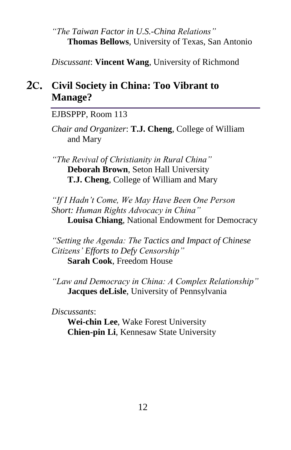#### *"The Taiwan Factor in U.S.-China Relations"* **Thomas Bellows**, University of Texas, San Antonio

*Discussant*: **Vincent Wang**, University of Richmond

## **Civil Society in China: Too Vibrant to Manage?**

EJBSPPP, Room 113

*Chair and Organizer*: **T.J. Cheng**, College of William and Mary

*"The Revival of Christianity in Rural China"* **Deborah Brown**, Seton Hall University **T.J. Cheng**, College of William and Mary

*"If I Hadn't Come, We May Have Been One Person Short: Human Rights Advocacy in China"* **Louisa Chiang**, National Endowment for Democracy

*"Setting the Agenda: The Tactics and Impact of Chinese Citizens' Efforts to Defy Censorship"* **Sarah Cook**, Freedom House

*"Law and Democracy in China: A Complex Relationship"* **Jacques deLisle**, University of Pennsylvania

*Discussants*:

**Wei-chin Lee**, Wake Forest University **Chien-pin Li**, Kennesaw State University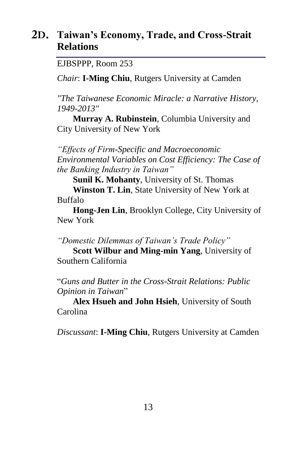## **Taiwan's Economy, Trade, and Cross-Strait Relations**

EJBSPPP, Room 253

*Chair*: **I-Ming Chiu**, Rutgers University at Camden

*"The Taiwanese Economic Miracle: a Narrative History, 1949-2013"* 

**Murray A. Rubinstein**, Columbia University and City University of New York

*"Effects of Firm-Specific and Macroeconomic Environmental Variables on Cost Efficiency: The Case of the Banking Industry in Taiwan"*

**Sunil K. Mohanty**, University of St. Thomas

**Winston T. Lin**, State University of New York at Buffalo

**Hong-Jen Lin**, Brooklyn College, City University of New York

*"Domestic Dilemmas of Taiwan's Trade Policy"*

**Scott Wilbur and Ming-min Yang**, University of Southern California

"*Guns and Butter in the Cross-Strait Relations: Public Opinion in Taiwan*"

**Alex Hsueh and John Hsieh**, University of South Carolina

*Discussant*: **I-Ming Chiu**, Rutgers University at Camden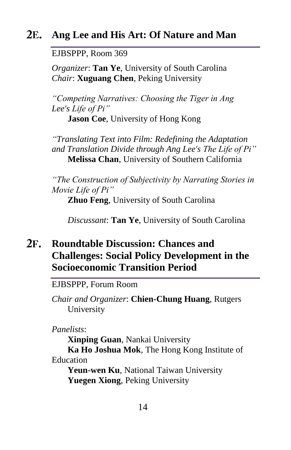## **Ang Lee and His Art: Of Nature and Man**

EJBSPPP, Room 369

*Organizer*: **Tan Ye**, University of South Carolina *Chair*: **Xuguang Chen**, Peking University

*"Competing Narratives: Choosing the Tiger in Ang Lee's Life of Pi"*

**Jason Coe**, University of Hong Kong

*"Translating Text into Film: Redefining the Adaptation and Translation Divide through Ang Lee's The Life of Pi"* **Melissa Chan**, University of Southern California

*"The Construction of Subjectivity by Narrating Stories in Movie Life of Pi"*

**Zhuo Feng**, University of South Carolina

*Discussant*: **Tan Ye**, University of South Carolina

## **Roundtable Discussion: Chances and Challenges: Social Policy Development in the Socioeconomic Transition Period**

EJBSPPP, Forum Room

*Chair and Organizer*: **Chien-Chung Huang**, Rutgers University

*Panelists*:

**Xinping Guan**, Nankai University **Ka Ho Joshua Mok**, The Hong Kong Institute of Education

**Yeun-wen Ku**, National Taiwan University **Yuegen Xiong**, Peking University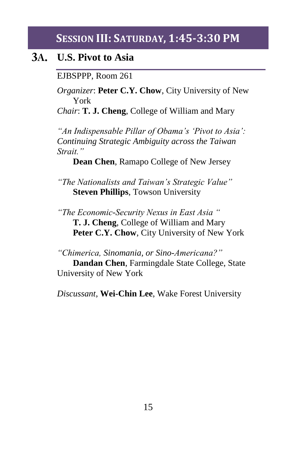### **SESSION III: SATURDAY, 1:45-3:30 PM**

### **U.S. Pivot to Asia**

EJBSPPP, Room 261

*Organizer*: **Peter C.Y. Chow**, City University of New York

*Chair*: **T. J. Cheng**, College of William and Mary

*"An Indispensable Pillar of Obama's 'Pivot to Asia': Continuing Strategic Ambiguity across the Taiwan Strait."* 

**Dean Chen**, Ramapo College of New Jersey

*"The Nationalists and Taiwan's Strategic Value"* **Steven Phillips**, Towson University

*"The Economic-Security Nexus in East Asia "*  **T. J. Cheng**, College of William and Mary **Peter C.Y. Chow**, City University of New York

*"Chimerica, Sinomania, or Sino-Americana?"* **Dandan Chen**, Farmingdale State College, State University of New York

*Discussant*, **Wei-Chin Lee**, Wake Forest University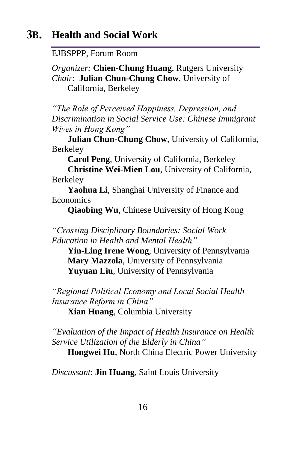#### **3B. Health and Social Work**

EJBSPPP, Forum Room

*Organizer:* **Chien-Chung Huang**, Rutgers University *Chair*: **Julian Chun-Chung Chow**, University of California, Berkeley

*"The Role of Perceived Happiness, Depression, and Discrimination in Social Service Use: Chinese Immigrant Wives in Hong Kong"*

**Julian Chun-Chung Chow**, University of California, Berkeley

**Carol Peng**, University of California, Berkeley

**Christine Wei-Mien Lou**, University of California, Berkeley

**Yaohua Li**, Shanghai University of Finance and **Economics** 

**Qiaobing Wu**, Chinese University of Hong Kong

*"Crossing Disciplinary Boundaries: Social Work Education in Health and Mental Health"* 

**Yin-Ling Irene Wong**, University of Pennsylvania **Mary Mazzola**, University of Pennsylvania **Yuyuan Liu**, University of Pennsylvania

*"Regional Political Economy and Local Social Health Insurance Reform in China"*

**Xian Huang**, Columbia University

*"Evaluation of the Impact of Health Insurance on Health Service Utilization of the Elderly in China"*

**Hongwei Hu**, North China Electric Power University

*Discussant*: **Jin Huang**, Saint Louis University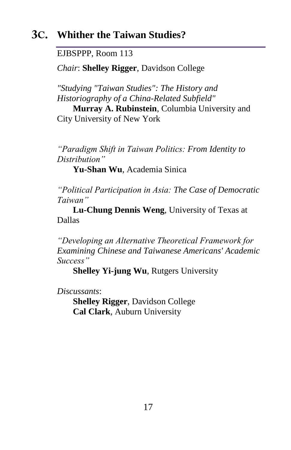## **Whither the Taiwan Studies?**

EJBSPPP, Room 113

*Chair*: **Shelley Rigger**, Davidson College

*"Studying "Taiwan Studies": The History and Historiography of a China-Related Subfield"* 

**Murray A. Rubinstein**, Columbia University and City University of New York

*"Paradigm Shift in Taiwan Politics: From Identity to Distribution"*

**Yu-Shan Wu**, Academia Sinica

*"Political Participation in Asia: The Case of Democratic Taiwan"* 

**Lu-Chung Dennis Weng**, University of Texas at Dallas

*"Developing an Alternative Theoretical Framework for Examining Chinese and Taiwanese Americans' Academic Success"*

**Shelley Yi-jung Wu**, Rutgers University

*Discussants*:

**Shelley Rigger**, Davidson College **Cal Clark**, Auburn University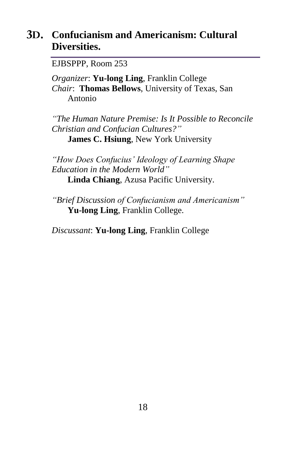## **Confucianism and Americanism: Cultural Diversities.**

EJBSPPP, Room 253

*Organizer*: **Yu-long Ling**, Franklin College *Chair*: **Thomas Bellows**, University of Texas, San Antonio

*"The Human Nature Premise: Is It Possible to Reconcile Christian and Confucian Cultures?"* **James C. Hsiung**, New York University

*"How Does Confucius' Ideology of Learning Shape Education in the Modern World"* **Linda Chiang**, Azusa Pacific University.

*"Brief Discussion of Confucianism and Americanism"* **Yu-long Ling**, Franklin College.

*Discussant*: **Yu-long Ling**, Franklin College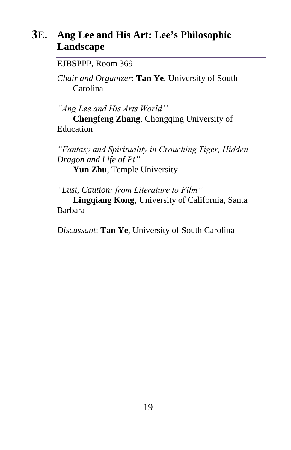## **Ang Lee and His Art: Lee's Philosophic Landscape**

EJBSPPP, Room 369

*Chair and Organizer*: **Tan Ye**, University of South Carolina

*"Ang Lee and His Arts World''*

**Chengfeng Zhang**, Chongqing University of Education

*"Fantasy and Spirituality in Crouching Tiger, Hidden Dragon and Life of Pi"* **Yun Zhu**, Temple University

*"Lust, Caution: from Literature to Film"*

**Lingqiang Kong**, University of California, Santa Barbara

*Discussant*: **Tan Ye**, University of South Carolina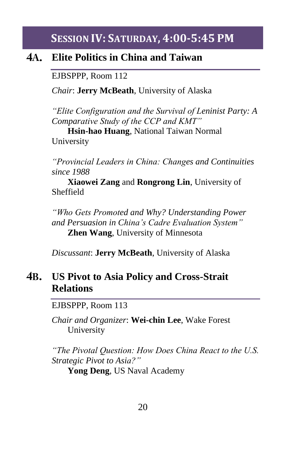**SESSION IV: SATURDAY, 4:00-5:45 PM**

#### **4A. Elite Politics in China and Taiwan**

EJBSPPP, Room 112

*Chair*: **Jerry McBeath**, University of Alaska

*"Elite Configuration and the Survival of Leninist Party: A Comparative Study of the CCP and KMT"*

**Hsin-hao Huang**, National Taiwan Normal University

*"Provincial Leaders in China: Changes and Continuities since 1988*

**Xiaowei Zang** and **Rongrong Lin**, University of Sheffield

*"Who Gets Promoted and Why? Understanding Power and Persuasion in China's Cadre Evaluation System"* **Zhen Wang**, University of Minnesota

*Discussant*: **Jerry McBeath**, University of Alaska

#### **4B. US Pivot to Asia Policy and Cross-Strait Relations**

EJBSPPP, Room 113

*Chair and Organizer*: **Wei-chin Lee**, Wake Forest University

*"The Pivotal Question: How Does China React to the U.S. Strategic Pivot to Asia?"*

**Yong Deng**, US Naval Academy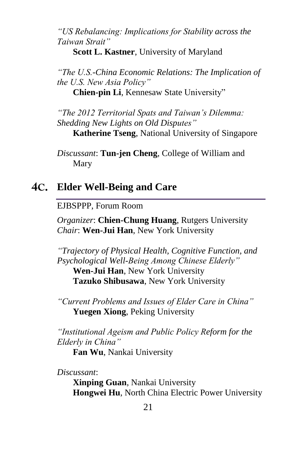*"US Rebalancing: Implications for Stability across the Taiwan Strait"* 

**Scott L. Kastner**, University of Maryland

*"The U.S.-China Economic Relations: The Implication of the U.S. New Asia Policy"*

**Chien-pin Li**, Kennesaw State University"

*"The 2012 Territorial Spats and Taiwan's Dilemma: Shedding New Lights on Old Disputes"* **Katherine Tseng**, National University of Singapore

*Discussant*: **Tun-jen Cheng**, College of William and Mary

## **Elder Well-Being and Care**

EJBSPPP, Forum Room

*Organizer*: **Chien-Chung Huang**, Rutgers University *Chair*: **Wen-Jui Han**, New York University

*"Trajectory of Physical Health, Cognitive Function, and Psychological Well-Being Among Chinese Elderly"* **Wen-Jui Han**, New York University **Tazuko Shibusawa**, New York University

*"Current Problems and Issues of Elder Care in China"* **Yuegen Xiong**, Peking University

*"Institutional Ageism and Public Policy Reform for the Elderly in China"*

**Fan Wu**, Nankai University

*Discussant*:

**Xinping Guan**, Nankai University **Hongwei Hu**, North China Electric Power University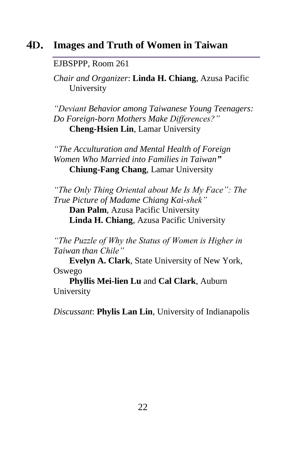#### 4D. **Images and Truth of Women in Taiwan**

#### EJBSPPP, Room 261

*Chair and Organizer*: **Linda H. Chiang**, Azusa Pacific University

*"Deviant Behavior among Taiwanese Young Teenagers: Do Foreign-born Mothers Make Differences?"* **Cheng-Hsien Lin**, Lamar University

*"The Acculturation and Mental Health of Foreign Women Who Married into Families in Taiwan"* **Chiung-Fang Chang**, Lamar University

*"The Only Thing Oriental about Me Is My Face": The True Picture of Madame Chiang Kai-shek"* **Dan Palm**, Azusa Pacific University **Linda H. Chiang**, Azusa Pacific University

*"The Puzzle of Why the Status of Women is Higher in Taiwan than Chile"*

**Evelyn A. Clark**, State University of New York, Oswego

**Phyllis Mei-lien Lu** and **Cal Clark**, Auburn University

*Discussant*: **Phylis Lan Lin**, University of Indianapolis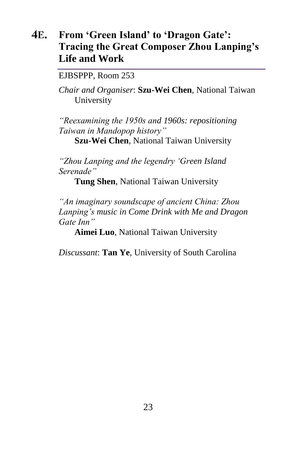#### **4E. From 'Green Island' to 'Dragon Gate': Tracing the Great Composer Zhou Lanping's Life and Work**

EJBSPPP, Room 253

*Chair and Organiser*: **Szu-Wei Chen**, National Taiwan University

*"Reexamining the 1950s and 1960s: repositioning Taiwan in Mandopop history"*

**Szu-Wei Chen**, National Taiwan University

*"Zhou Lanping and the legendry 'Green Island Serenade"*

**Tung Shen**, National Taiwan University

*"An imaginary soundscape of ancient China: Zhou Lanping's music in Come Drink with Me and Dragon Gate Inn"*

**Aimei Luo**, National Taiwan University

*Discussant*: **Tan Ye**, University of South Carolina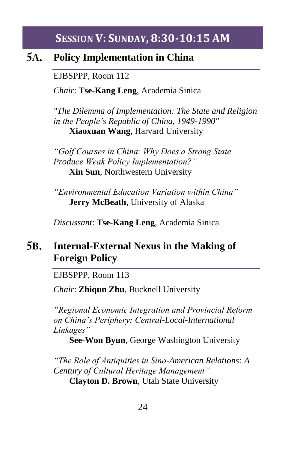## **SESSION V: SUNDAY, 8:30-10:15 AM**

#### **5A. Policy Implementation in China**

EJBSPPP, Room 112

*Chair*: **Tse-Kang Leng**, Academia Sinica

*"The Dilemma of Implementation: The State and Religion in the People's Republic of China, 1949-1990"* **Xiaoxuan Wang**, Harvard University

*"Golf Courses in China: Why Does a Strong State Produce Weak Policy Implementation?"* **Xin Sun**, Northwestern University

*"Environmental Education Variation within China"*  **Jerry McBeath**, University of Alaska

*Discussant*: **Tse-Kang Leng**, Academia Sinica

#### **5B. Internal-External Nexus in the Making of Foreign Policy**

EJBSPPP, Room 113

*Chair*: **Zhiqun Zhu**, Bucknell University

*"Regional Economic Integration and Provincial Reform on China's Periphery: Central-Local-International Linkages"*

**See-Won Byun**, George Washington University

*"The Role of Antiquities in Sino-American Relations: A Century of Cultural Heritage Management"* **Clayton D. Brown**, Utah State University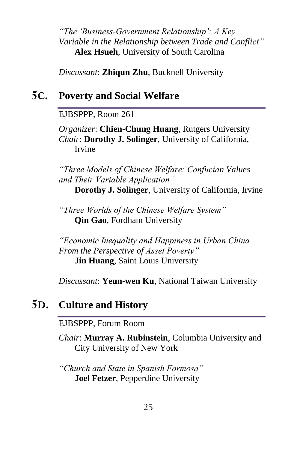*"The 'Business-Government Relationship': A Key Variable in the Relationship between Trade and Conflict"* **Alex Hsueh**, University of South Carolina

*Discussant*: **Zhiqun Zhu**, Bucknell University

## **Poverty and Social Welfare**

EJBSPPP, Room 261

*Organizer*: **Chien-Chung Huang**, Rutgers University *Chair*: **Dorothy J. Solinger**, University of California, Irvine

*"Three Models of Chinese Welfare: Confucian Values and Their Variable Application"*

**Dorothy J. Solinger**, University of California, Irvine

*"Three Worlds of the Chinese Welfare System"* **Qin Gao**, Fordham University

*"Economic Inequality and Happiness in Urban China From the Perspective of Asset Poverty"* **Jin Huang**, Saint Louis University

*Discussant*: **Yeun-wen Ku**, National Taiwan University

## **Culture and History**

EJBSPPP, Forum Room

*Chair*: **Murray A. Rubinstein**, Columbia University and City University of New York

*"Church and State in Spanish Formosa"*  **Joel Fetzer**, Pepperdine University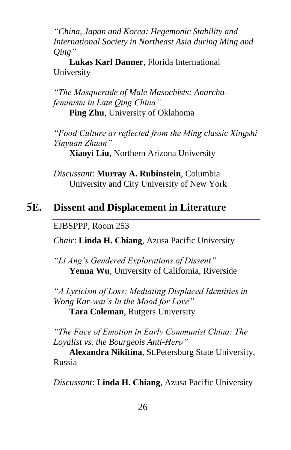*"China, Japan and Korea: Hegemonic Stability and International Society in Northeast Asia during Ming and Qing"*

**Lukas Karl Danner**, Florida International University

*"The Masquerade of Male Masochists: Anarchafeminism in Late Qing China"* **Ping Zhu**, University of Oklahoma

*"Food Culture as reflected from the Ming classic Xingshi Yinyuan Zhuan"*

**Xiaoyi Liu**, Northern Arizona University

*Discussant*: **Murray A. Rubinstein**, Columbia University and City University of New York

#### **5E. Dissent and Displacement in Literature**

EJBSPPP, Room 253

*Chair*: **Linda H. Chiang**, Azusa Pacific University

*"Li Ang's Gendered Explorations of Dissent"*  **Yenna Wu**, University of California, Riverside

*"A Lyricism of Loss: Mediating Displaced Identities in Wong Kar-wai's In the Mood for Love"* **Tara Coleman**, Rutgers University

*"The Face of Emotion in Early Communist China: The Loyalist vs. the Bourgeois Anti-Hero"*

**Alexandra Nikitina**, St.Petersburg State University, Russia

*Discussant*: **Linda H. Chiang**, Azusa Pacific University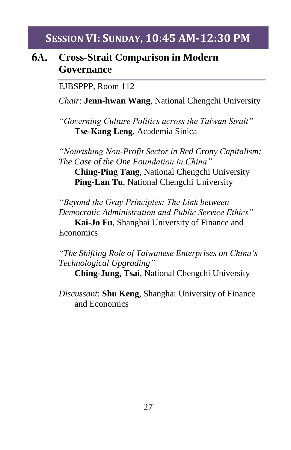## **SESSION VI: SUNDAY, 10:45 AM-12:30 PM**

#### 6A. **Cross-Strait Comparison in Modern Governance**

EJBSPPP, Room 112

*Chair*: **Jenn-hwan Wang**, National Chengchi University

*"Governing Culture Politics across the Taiwan Strait"* **Tse-Kang Leng**, Academia Sinica

*"Nourishing Non-Profit Sector in Red Crony Capitalism: The Case of the One Foundation in China"* **Ching-Ping Tang**, National Chengchi University **Ping-Lan Tu**, National Chengchi University

*"Beyond the Gray Principles: The Link between Democratic Administration and Public Service Ethics"*

**Kai-Jo Fu**, Shanghai University of Finance and **Economics** 

*"The Shifting Role of Taiwanese Enterprises on China's Technological Upgrading"* 

**Ching-Jung, Tsai**, National Chengchi University

*Discussant*: **Shu Keng**, Shanghai University of Finance and Economics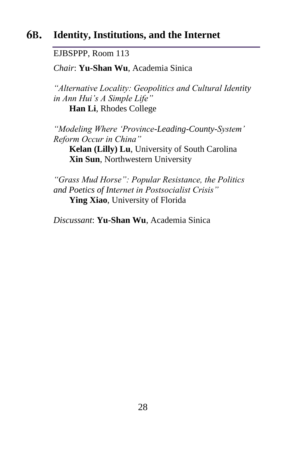#### 6B. **Identity, Institutions, and the Internet**

EJBSPPP, Room 113

*Chair*: **Yu-Shan Wu**, Academia Sinica

*"Alternative Locality: Geopolitics and Cultural Identity in Ann Hui's A Simple Life"* **Han Li**, Rhodes College

*"Modeling Where 'Province-Leading-County-System' Reform Occur in China"*

**Kelan (Lilly) Lu**, University of South Carolina **Xin Sun**, Northwestern University

*"Grass Mud Horse": Popular Resistance, the Politics and Poetics of Internet in Postsocialist Crisis"*  **Ying Xiao**, University of Florida

*Discussant*: **Yu-Shan Wu**, Academia Sinica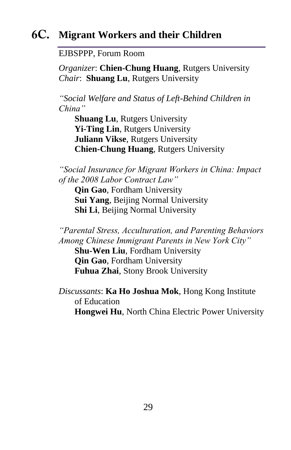## **Migrant Workers and their Children**

EJBSPPP, Forum Room

*Organizer*: **Chien-Chung Huang**, Rutgers University *Chair*: **Shuang Lu**, Rutgers University

*"Social Welfare and Status of Left-Behind Children in China"* 

**Shuang Lu**, Rutgers University **Yi-Ting Lin**, Rutgers University **Juliann Vikse**, Rutgers University **Chien-Chung Huang**, Rutgers University

*"Social Insurance for Migrant Workers in China: Impact of the 2008 Labor Contract Law"*

**Qin Gao**, Fordham University **Sui Yang**, Beijing Normal University **Shi Li**, Beijing Normal University

*"Parental Stress, Acculturation, and Parenting Behaviors Among Chinese Immigrant Parents in New York City"*

**Shu-Wen Liu**, Fordham University **Qin Gao**, Fordham University **Fuhua Zhai**, Stony Brook University

*Discussants*: **Ka Ho Joshua Mok**, Hong Kong Institute of Education **Hongwei Hu**, North China Electric Power University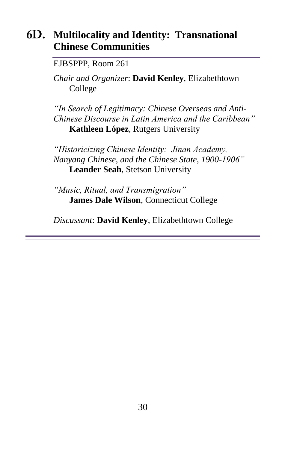## **Multilocality and Identity: Transnational Chinese Communities**

#### EJBSPPP, Room 261

*Chair and Organizer*: **David Kenley**, Elizabethtown College

*"In Search of Legitimacy: Chinese Overseas and Anti-Chinese Discourse in Latin America and the Caribbean"* **Kathleen López**, Rutgers University

*"Historicizing Chinese Identity: Jinan Academy, Nanyang Chinese, and the Chinese State, 1900-1906"* **Leander Seah**, Stetson University

*"Music, Ritual, and Transmigration"* **James Dale Wilson**, Connecticut College

*Discussant*: **David Kenley**, Elizabethtown College